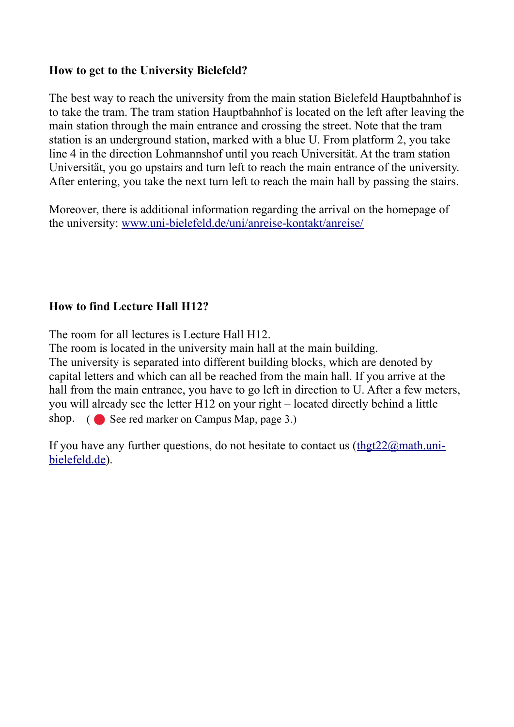## **How to get to the University Bielefeld?**

The best way to reach the university from the main station Bielefeld Hauptbahnhof is to take the tram. The tram station Hauptbahnhof is located on the left after leaving the main station through the main entrance and crossing the street. Note that the tram station is an underground station, marked with a blue U. From platform 2, you take line 4 in the direction Lohmannshof until you reach Universität. At the tram station Universität, you go upstairs and turn left to reach the main entrance of the university. After entering, you take the next turn left to reach the main hall by passing the stairs.

Moreover, there is additional information regarding the arrival on the homepage of the university: [www.uni-bielefeld.de/uni/anreise-kontakt/anreise/](http://www.uni-bielefeld.de/uni/anreise-kontakt/anreise/)

## **How to find Lecture Hall H12?**

The room for all lectures is Lecture Hall H12.

The room is located in the university main hall at the main building. The university is separated into different building blocks, which are denoted by capital letters and which can all be reached from the main hall. If you arrive at the hall from the main entrance, you have to go left in direction to U. After a few meters, you will already see the letter H12 on your right – located directly behind a little shop. ( See red marker on Campus Map, page 3.)

If you have any further questions, do not hesitate to contact us  $(\underline{thgt22@mathmmmath.uni-})$ [bielefeld.de\)](mailto:thgt22@math.uni-bielefeld.de).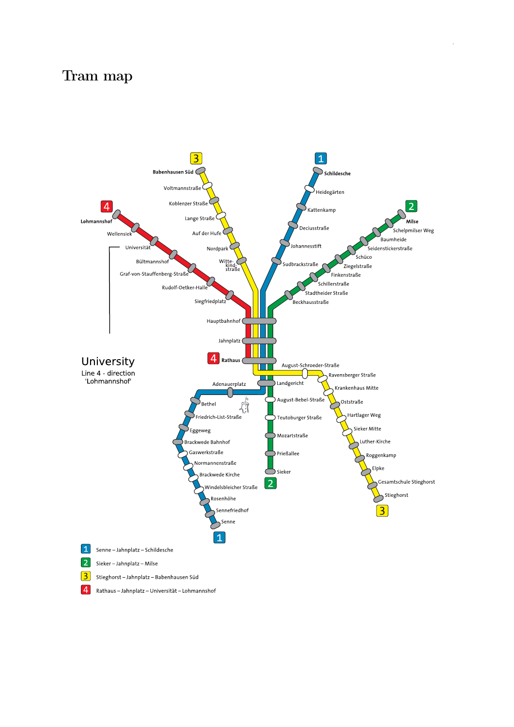## Tram map